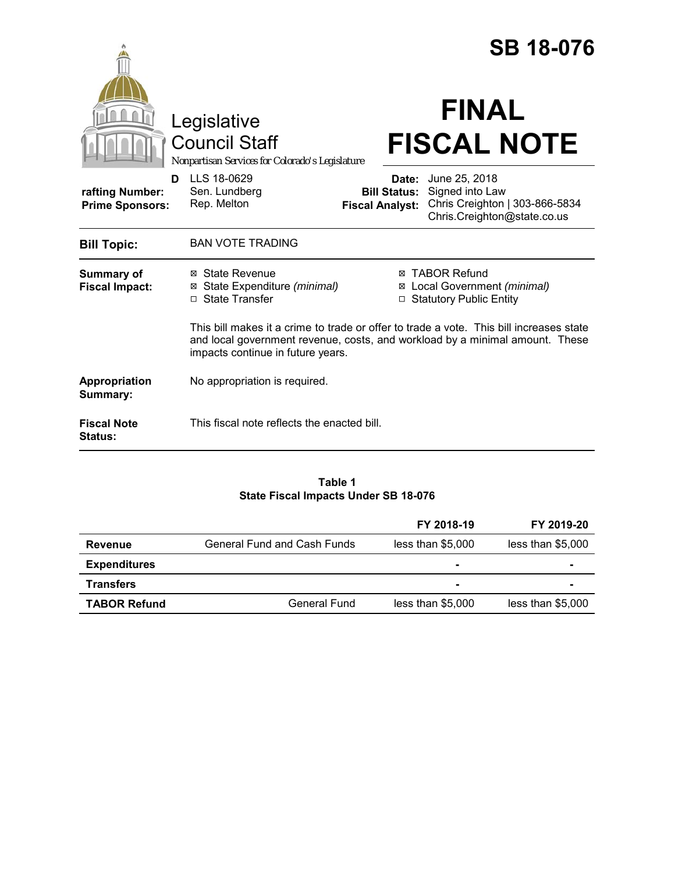|                                                |                                                                                                                                                                                                              |                                               | <b>SB 18-076</b>                                                                                               |
|------------------------------------------------|--------------------------------------------------------------------------------------------------------------------------------------------------------------------------------------------------------------|-----------------------------------------------|----------------------------------------------------------------------------------------------------------------|
|                                                | Legislative<br><b>Council Staff</b><br>Nonpartisan Services for Colorado's Legislature                                                                                                                       |                                               | <b>FINAL</b><br><b>FISCAL NOTE</b>                                                                             |
| D<br>rafting Number:<br><b>Prime Sponsors:</b> | LLS 18-0629<br>Sen. Lundberg<br>Rep. Melton                                                                                                                                                                  | <b>Bill Status:</b><br><b>Fiscal Analyst:</b> | <b>Date:</b> June 25, 2018<br>Signed into Law<br>Chris Creighton   303-866-5834<br>Chris.Creighton@state.co.us |
| <b>Bill Topic:</b>                             | <b>BAN VOTE TRADING</b>                                                                                                                                                                                      |                                               |                                                                                                                |
| Summary of<br><b>Fiscal Impact:</b>            | ⊠ State Revenue<br>State Expenditure (minimal)<br>⊠<br>□ State Transfer                                                                                                                                      | ⊠<br>$\Box$                                   | <b>⊠ TABOR Refund</b><br>Local Government (minimal)<br><b>Statutory Public Entity</b>                          |
|                                                | This bill makes it a crime to trade or offer to trade a vote. This bill increases state<br>and local government revenue, costs, and workload by a minimal amount. These<br>impacts continue in future years. |                                               |                                                                                                                |
| <b>Appropriation</b><br>Summary:               | No appropriation is required.                                                                                                                                                                                |                                               |                                                                                                                |
| <b>Fiscal Note</b><br>Status:                  | This fiscal note reflects the enacted bill.                                                                                                                                                                  |                                               |                                                                                                                |

# **Table 1 State Fiscal Impacts Under SB 18-076**

|                     |                             | FY 2018-19        | FY 2019-20        |
|---------------------|-----------------------------|-------------------|-------------------|
| <b>Revenue</b>      | General Fund and Cash Funds | less than \$5,000 | less than \$5,000 |
| <b>Expenditures</b> |                             | ۰                 | ۰                 |
| <b>Transfers</b>    |                             |                   |                   |
| <b>TABOR Refund</b> | General Fund                | less than \$5,000 | less than \$5,000 |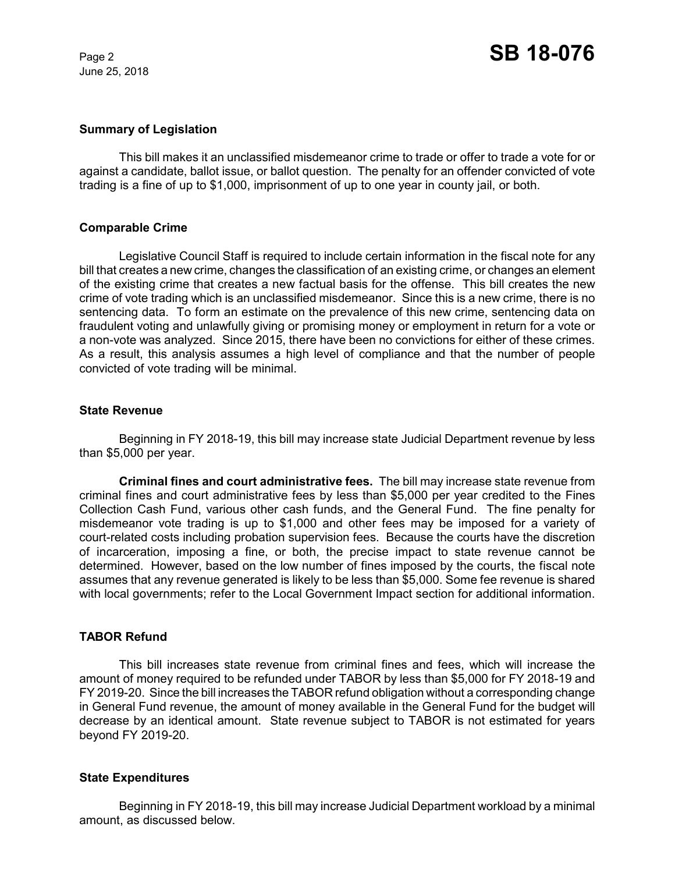June 25, 2018

## **Summary of Legislation**

This bill makes it an unclassified misdemeanor crime to trade or offer to trade a vote for or against a candidate, ballot issue, or ballot question. The penalty for an offender convicted of vote trading is a fine of up to \$1,000, imprisonment of up to one year in county jail, or both.

# **Comparable Crime**

Legislative Council Staff is required to include certain information in the fiscal note for any bill that creates a new crime, changes the classification of an existing crime, or changes an element of the existing crime that creates a new factual basis for the offense. This bill creates the new crime of vote trading which is an unclassified misdemeanor. Since this is a new crime, there is no sentencing data. To form an estimate on the prevalence of this new crime, sentencing data on fraudulent voting and unlawfully giving or promising money or employment in return for a vote or a non-vote was analyzed. Since 2015, there have been no convictions for either of these crimes. As a result, this analysis assumes a high level of compliance and that the number of people convicted of vote trading will be minimal.

## **State Revenue**

Beginning in FY 2018-19, this bill may increase state Judicial Department revenue by less than \$5,000 per year.

**Criminal fines and court administrative fees.** The bill may increase state revenue from criminal fines and court administrative fees by less than \$5,000 per year credited to the Fines Collection Cash Fund, various other cash funds, and the General Fund. The fine penalty for misdemeanor vote trading is up to \$1,000 and other fees may be imposed for a variety of court-related costs including probation supervision fees. Because the courts have the discretion of incarceration, imposing a fine, or both, the precise impact to state revenue cannot be determined. However, based on the low number of fines imposed by the courts, the fiscal note assumes that any revenue generated is likely to be less than \$5,000. Some fee revenue is shared with local governments; refer to the Local Government Impact section for additional information.

# **TABOR Refund**

This bill increases state revenue from criminal fines and fees, which will increase the amount of money required to be refunded under TABOR by less than \$5,000 for FY 2018-19 and FY 2019-20. Since the bill increases the TABOR refund obligation without a corresponding change in General Fund revenue, the amount of money available in the General Fund for the budget will decrease by an identical amount. State revenue subject to TABOR is not estimated for years beyond FY 2019-20.

#### **State Expenditures**

Beginning in FY 2018-19, this bill may increase Judicial Department workload by a minimal amount, as discussed below.